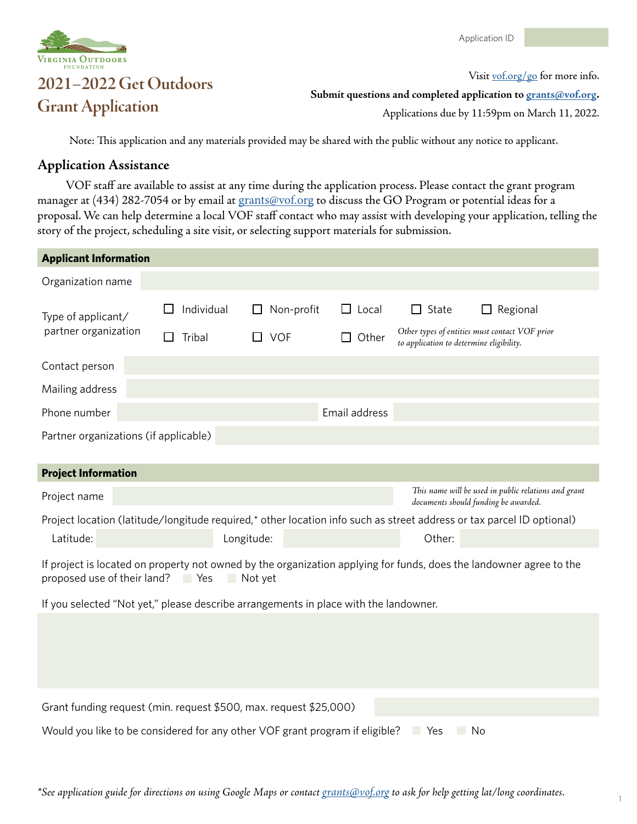

## **2021–2022 Get Outdoors Grant Application**<br>**Grant Application**<br>**Grant Application**

Visit [vof.org/g](http://vof.org/go)o for more info.

Applications due by 11:59pm on March 11, 2022.

Note: This application and any materials provided may be shared with the public without any notice to applicant.

## **Application Assistance**

VOF staff are available to assist at any time during the application process. Please contact the grant program manager at (434) 282-7054 or by email at [grants@vof.org](mailto:grants@vof.org) to discuss the GO Program or potential ideas for a proposal. We can help determine a local VOF staff contact who may assist with developing your application, telling the story of the project, scheduling a site visit, or selecting support materials for submission.

| <b>Applicant Information</b>                                                                                                                                                       |                  |            |            |               |  |                                                                                              |                                                |  |
|------------------------------------------------------------------------------------------------------------------------------------------------------------------------------------|------------------|------------|------------|---------------|--|----------------------------------------------------------------------------------------------|------------------------------------------------|--|
| Organization name                                                                                                                                                                  |                  |            |            |               |  |                                                                                              |                                                |  |
| Type of applicant/<br>partner organization                                                                                                                                         | Individual       |            | Non-profit | $\Box$ Local  |  | $\Box$ State                                                                                 | Regional                                       |  |
|                                                                                                                                                                                    | Tribal<br>$\Box$ | $\Box$ VOF |            | $\Box$ Other  |  | to application to determine eligibility.                                                     | Other types of entities must contact VOF prior |  |
| Contact person                                                                                                                                                                     |                  |            |            |               |  |                                                                                              |                                                |  |
| Mailing address                                                                                                                                                                    |                  |            |            |               |  |                                                                                              |                                                |  |
| Phone number                                                                                                                                                                       |                  |            |            | Email address |  |                                                                                              |                                                |  |
| Partner organizations (if applicable)                                                                                                                                              |                  |            |            |               |  |                                                                                              |                                                |  |
| <b>Project Information</b>                                                                                                                                                         |                  |            |            |               |  |                                                                                              |                                                |  |
| Project name                                                                                                                                                                       |                  |            |            |               |  | This name will be used in public relations and grant<br>documents should funding be awarded. |                                                |  |
| Project location (latitude/longitude required,* other location info such as street address or tax parcel ID optional)                                                              |                  |            |            |               |  |                                                                                              |                                                |  |
| Latitude:                                                                                                                                                                          |                  | Longitude: |            |               |  | Other:                                                                                       |                                                |  |
| If project is located on property not owned by the organization applying for funds, does the landowner agree to the<br>proposed use of their land?<br><b>Parage Yes</b><br>Not yet |                  |            |            |               |  |                                                                                              |                                                |  |
| If you selected "Not yet," please describe arrangements in place with the landowner.                                                                                               |                  |            |            |               |  |                                                                                              |                                                |  |
|                                                                                                                                                                                    |                  |            |            |               |  |                                                                                              |                                                |  |
|                                                                                                                                                                                    |                  |            |            |               |  |                                                                                              |                                                |  |
|                                                                                                                                                                                    |                  |            |            |               |  |                                                                                              |                                                |  |
| Grant funding request (min. request \$500, max. request \$25,000)                                                                                                                  |                  |            |            |               |  |                                                                                              |                                                |  |
| Would you like to be considered for any other VOF grant program if eligible?<br>Yes<br>No                                                                                          |                  |            |            |               |  |                                                                                              |                                                |  |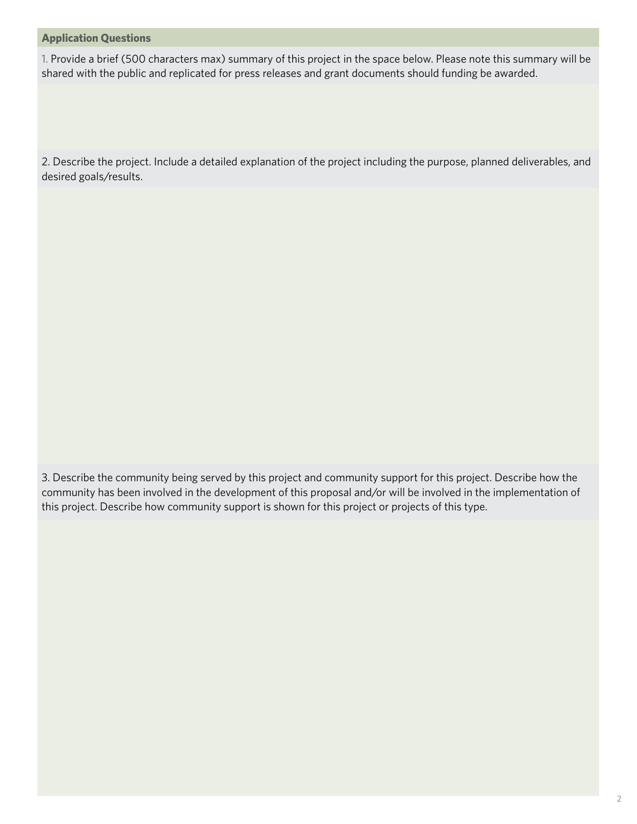## **Application Questions**

1. Provide a brief (500 characters max) summary of this project in the space below. Please note this summary will be shared with the public and replicated for press releases and grant documents should funding be awarded.

2. Describe the project. Include a detailed explanation of the project including the purpose, planned deliverables, and desired goals/results.

3. Describe the community being served by this project and community support for this project. Describe how the community has been involved in the development of this proposal and/or will be involved in the implementation of this project. Describe how community support is shown for this project or projects of this type.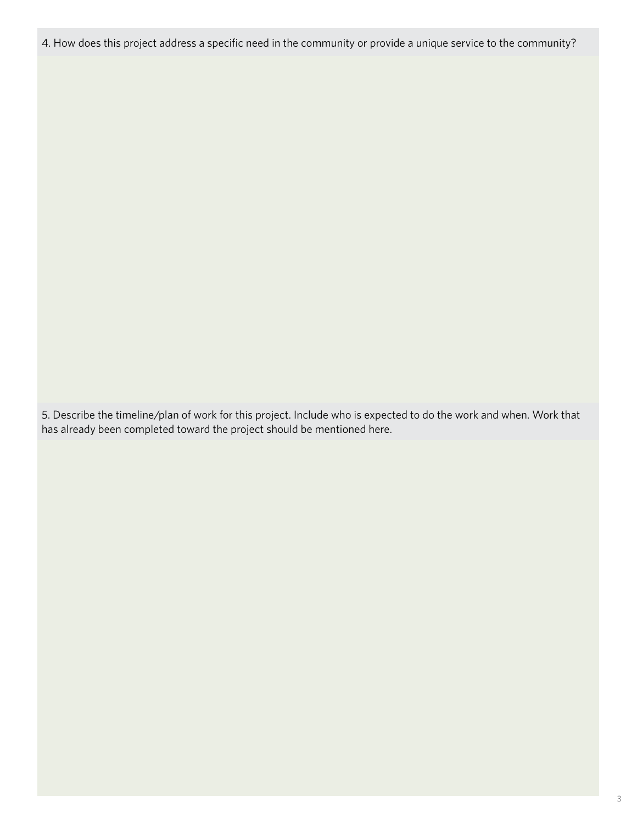4. How does this project address a specific need in the community or provide a unique service to the community?

5. Describe the timeline/plan of work for this project. Include who is expected to do the work and when. Work that has already been completed toward the project should be mentioned here.